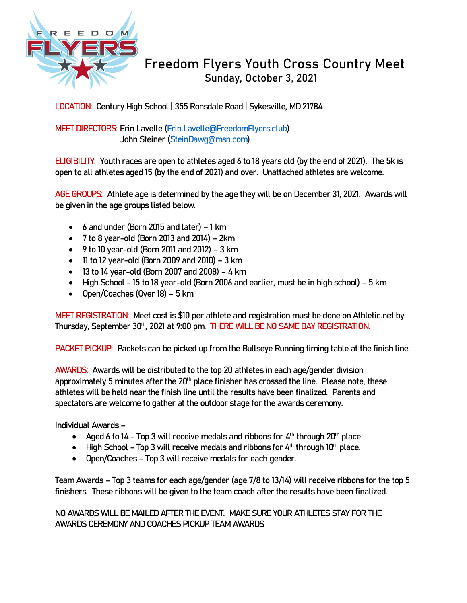

## **Freedom Flyers Youth Cross Country Meet Sunday, October 3, 2021**

**LOCATION: Century High School | 355 Ronsdale Road | Sykesville, MD 21784**

**MEET DIRECTORS: Erin Lavelle [\(Erin.Lavelle@FreedomFlyers.club\)](mailto:Erin.Lavelle@FreedomFlyers.club) John Steiner [\(SteinDawg@msn.com\)](mailto:SteinDawg@msn.com)**

**ELIGIBILITY: Youth races are open to athletes aged 6 to 18 years old (by the end of 2021). The 5k is open to all athletes aged 15 (by the end of 2021) and over. Unattached athletes are welcome.**

**AGE GROUPS: Athlete age is determined by the age they will be on December 31, 2021. Awards will be given in the age groups listed below.**

- **6 and under (Born 2015 and later) – 1 km**
- **7 to 8 year-old (Born 2013 and 2014) – 2km**
- **9 to 10 year-old (Born 2011 and 2012) – 3 km**
- **11 to 12 year-old (Born 2009 and 2010) – 3 km**
- **13 to 14 year-old (Born 2007 and 2008) – 4 km**
- **High School - 15 to 18 year-old (Born 2006 and earlier, must be in high school) – 5 km**
- **Open/Coaches (Over 18) – 5 km**

**MEET REGISTRATION: Meet cost is \$10 per athlete and registration must be done on Athletic.net by Thursday, September 30th, 2021 at 9:00 pm. THERE WILL BE NO SAME DAY REGISTRATION.**

**PACKET PICKUP: Packets can be picked up from the Bullseye Running timing table at the finish line.**

**AWARDS: Awards will be distributed to the top 20 athletes in each age/gender division approximately 5 minutes after the 20th place finisher has crossed the line. Please note, these athletes will be held near the finish line until the results have been finalized. Parents and spectators are welcome to gather at the outdoor stage for the awards ceremony.** 

**Individual Awards –**

- **Aged 6 to 14 - Top 3 will receive medals and ribbons for 4th through 20th place**
- **High School - Top 3 will receive medals and ribbons for 4th through 10th place.**
- **Open/Coaches – Top 3 will receive medals for each gender.**

**Team Awards – Top 3 teams for each age/gender (age 7/8 to 13/14) will receive ribbons for the top 5 finishers. These ribbons will be given to the team coach after the results have been finalized.** 

**NO AWARDS WILL BE MAILED AFTER THE EVENT. MAKE SURE YOUR ATHLETES STAY FOR THE AWARDS CEREMONY AND COACHES PICKUP TEAM AWARDS**